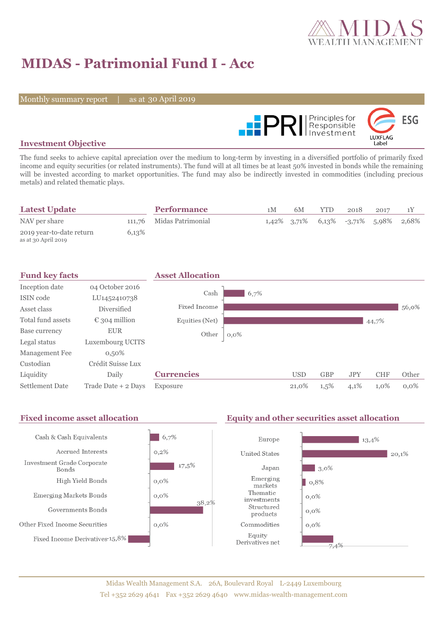

# **MIDAS - Patrimonial Fund I - Acc**

Monthly summary report | as at 30 April 2019



### **Investment Objective**

The fund seeks to achieve capital apreciation over the medium to long-term by investing in a diversified portfolio of primarily fixed income and equity securities (or related instruments). The fund will at all times be at least 50% invested in bonds while the remaining will be invested according to market opportunities. The fund may also be indirectly invested in commodities (including precious metals) and related thematic plays.

| <b>Latest Update</b>                            |       | <b>Performance</b>       | 1 M | 6M | <b>YTD</b> | 2018                                    | 2017 |  |
|-------------------------------------------------|-------|--------------------------|-----|----|------------|-----------------------------------------|------|--|
| NAV per share                                   |       | 111,76 Midas Patrimonial |     |    |            | $1,42\%$ 3.71% 6.13% -3.71% 5.98% 2.68% |      |  |
| 2019 year-to-date return<br>as at 30 April 2019 | 6,13% |                          |     |    |            |                                         |      |  |

| <b>Fund key facts</b>  |                        | <b>Asset Allocation</b> |         |            |            |            |            |         |
|------------------------|------------------------|-------------------------|---------|------------|------------|------------|------------|---------|
| Inception date         | 04 October 2016        |                         |         |            |            |            |            |         |
| ISIN code              | LU1452410738           | Cash                    | 6,7%    |            |            |            |            |         |
| Asset class            | Diversified            | Fixed Income            |         |            |            |            |            | 56,0%   |
| Total fund assets      | $\epsilon$ 304 million | Equities (Net)          |         |            |            |            | 44,7%      |         |
| Base currency          | <b>EUR</b>             | Other                   | $0,0\%$ |            |            |            |            |         |
| Legal status           | Luxembourg UCITS       |                         |         |            |            |            |            |         |
| Management Fee         | $0,50\%$               |                         |         |            |            |            |            |         |
| Custodian              | Crédit Suisse Lux      |                         |         |            |            |            |            |         |
| Liquidity              | Daily                  | <b>Currencies</b>       |         | <b>USD</b> | <b>GBP</b> | <b>JPY</b> | <b>CHF</b> | Other   |
| <b>Settlement Date</b> | Trade Date + 2 Days    | Exposure                |         | 21,0%      | $1,5\%$    | 4,1%       | $1,0\%$    | $0.0\%$ |

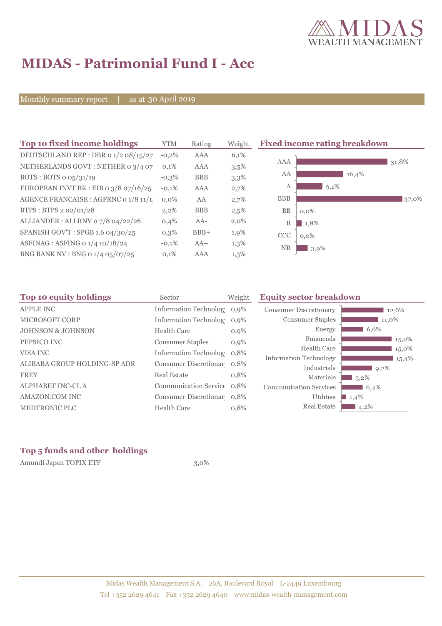

## **MIDAS - Patrimonial Fund I - Acc**

Monthly summary report | as at 30 April 2019

| Top 10 fixed income holdings            | <b>YTM</b> | Rating     | Weight  | <b>Fixed income rating breakdown</b> |
|-----------------------------------------|------------|------------|---------|--------------------------------------|
| DEUTSCHLAND REP : DBR 0 1/2 08/15/27    | $-0,2%$    | <b>AAA</b> | 6,1%    |                                      |
| NETHERLANDS GOVT: NETHER 0 3/4 07       | 0,1%       | AAA        | 3,5%    | <b>AAA</b><br>31,8%                  |
| BOTS: BOTS $o$ $o5/31/19$               | $-0,3%$    | <b>BBB</b> | 3,3%    | AA<br>16,4%                          |
| EUROPEAN INVT BK : EIB o $3/8$ o7/16/25 | $-0,1%$    | <b>AAA</b> | 2,7%    | $9,1\%$<br>А                         |
| AGENCE FRANCAISE : AGFRNC 0 1/8 11/1!   | $0.0\%$    | AA         | 2,7%    | <b>BBB</b><br>37,0%                  |
| BTPS: BTPS 2 02/01/28                   | 2,2%       | <b>BBB</b> | 2,5%    | <b>BB</b><br>$0,0\%$                 |
| ALLIANDER: ALLRNV 07/8 04/22/26         | 0,4%       | AA-        | $2,0\%$ | B<br>1,8%                            |
| SPANISH GOV'T: SPGB 1.6 04/30/25        | 0,3%       | $BBB+$     | 1,9%    | <b>CCC</b><br>$0,0\%$                |
| ASFINAG : ASFING 0 1/4 10/18/24         | $-0,1%$    | $AA+$      | $1,3\%$ | <b>NR</b><br>$3,9\%$                 |
| BNG BANK NV : BNG 0 1/4 05/07/25        | 0,1%       | AAA        | $1,3\%$ |                                      |

| Top 10 equity holdings       | Sector                     | Weight | <b>Equity sector breakdown</b> |                     |  |  |
|------------------------------|----------------------------|--------|--------------------------------|---------------------|--|--|
| <b>APPLE INC</b>             | Information Technolog 0,9% |        | <b>Consumer Discretionary</b>  | 12,6%               |  |  |
| MICROSOFT CORP               | Information Technolog 0,9% |        | Consumer Staples               | 11,0%               |  |  |
| <b>JOHNSON &amp; JOHNSON</b> | Health Care                | 0,9%   | Energy                         | 6,6%                |  |  |
| PEPSICO INC                  | <b>Consumer Staples</b>    | 0,9%   | Financials                     | 15,0%               |  |  |
| VISA INC                     | Information Technolog 0.8% |        | Health Care                    | $15,0\%$            |  |  |
|                              |                            |        | <b>Information Technology</b>  | 15,4%               |  |  |
| ALIBABA GROUP HOLDING-SP ADR | Consumer Discretionar 0.8% |        | Industrials                    | 9,2%                |  |  |
| <b>FREY</b>                  | Real Estate                | 0,8%   | Materials                      | $3,2\%$             |  |  |
| ALPHABET INC-CL A            | Communication Service 0.8% |        | <b>Communication Services</b>  | 6,4%                |  |  |
| AMAZON.COM INC               | Consumer Discretionar 0,8% |        | Utilities                      | $\blacksquare$ 1,4% |  |  |
| MEDTRONIC PLC                | Health Care                | 0,8%   | Real Estate                    | $4,2\%$             |  |  |

### **Top 5 funds and other holdings**

Amundi Japan TOPIX ETF 3,0%